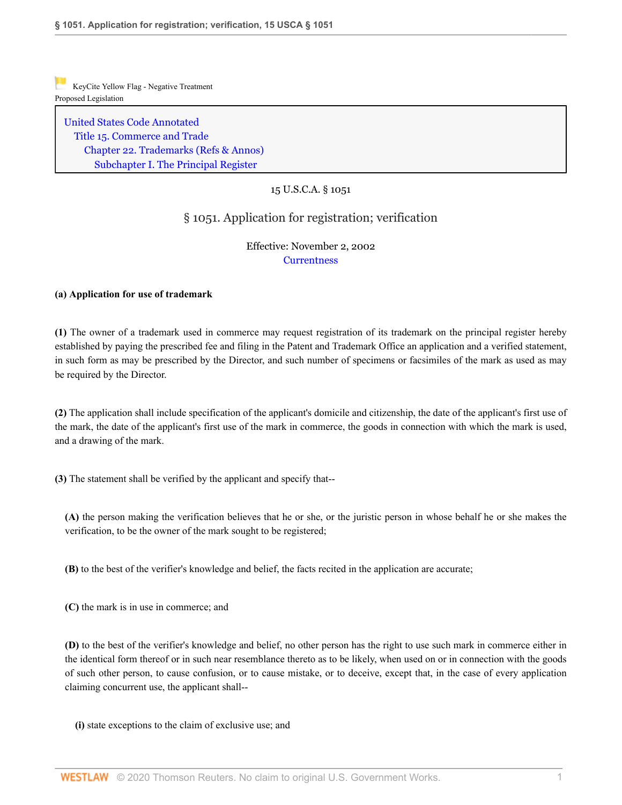[K](http://www.westlaw.com/Link/RelatedInformation/Flag?documentGuid=NB8E46B70AFF711D8803AE0632FEDDFBF&transitionType=Document&originationContext=docHeaderFlag&Rank=0&rs=cblt1.0&vr=3.0&contextData=(sc.DocLink))eyCite Yellow Flag - Negative Treatment Proposed Legislation

[United States Code Annotated](http://www.westlaw.com/Browse/Home/StatutesCourtRules/UnitedStatesCodeAnnotatedUSCA?transitionType=DocumentItem&contextData=(sc.DocLink)&rs=clbt1.0&vr=3.0) [Title 15. Commerce and Trade](http://www.westlaw.com/Browse/Home/StatutesCourtRules/UnitedStatesCodeAnnotatedUSCA?guid=NE8DC0305899443E9854AC8D1A7C92C0D&transitionType=DocumentItem&contextData=(sc.DocLink)&rs=clbt1.0&vr=3.0) [Chapter 22. Trademarks](http://www.westlaw.com/Browse/Home/StatutesCourtRules/UnitedStatesCodeAnnotatedUSCA?guid=NBB573185863D4DDFB9F58FFF7431C8B4&transitionType=DocumentItem&contextData=(sc.DocLink)&rs=clbt1.0&vr=3.0) [\(Refs & Annos\)](http://www.westlaw.com/Link/Document/FullText?findType=l&cite=lk(15USCA22R)&originatingDoc=NB8E46B70AFF711D8803AE0632FEDDFBF&refType=CM&sourceCite=15+U.S.C.A.+%c2%a7+1051&originationContext=document&vr=3.0&rs=cblt1.0&transitionType=DocumentItem&pubNum=1000546&contextData=(sc.DocLink)) [Subchapter I. The Principal Register](http://www.westlaw.com/Browse/Home/StatutesCourtRules/UnitedStatesCodeAnnotatedUSCA?guid=NA630CFB1745F4025B63A878EB7A769E7&transitionType=DocumentItem&contextData=(sc.DocLink)&rs=clbt1.0&vr=3.0)

## 15 U.S.C.A. § 1051

# § 1051. Application for registration; verification

Effective: November 2, 2002 **[Currentness](#page-3-0)** 

#### **(a) Application for use of trademark**

**(1)** The owner of a trademark used in commerce may request registration of its trademark on the principal register hereby established by paying the prescribed fee and filing in the Patent and Trademark Office an application and a verified statement, in such form as may be prescribed by the Director, and such number of specimens or facsimiles of the mark as used as may be required by the Director.

**(2)** The application shall include specification of the applicant's domicile and citizenship, the date of the applicant's first use of the mark, the date of the applicant's first use of the mark in commerce, the goods in connection with which the mark is used, and a drawing of the mark.

**(3)** The statement shall be verified by the applicant and specify that--

**(A)** the person making the verification believes that he or she, or the juristic person in whose behalf he or she makes the verification, to be the owner of the mark sought to be registered;

**(B)** to the best of the verifier's knowledge and belief, the facts recited in the application are accurate;

**(C)** the mark is in use in commerce; and

**(D)** to the best of the verifier's knowledge and belief, no other person has the right to use such mark in commerce either in the identical form thereof or in such near resemblance thereto as to be likely, when used on or in connection with the goods of such other person, to cause confusion, or to cause mistake, or to deceive, except that, in the case of every application claiming concurrent use, the applicant shall--

**(i)** state exceptions to the claim of exclusive use; and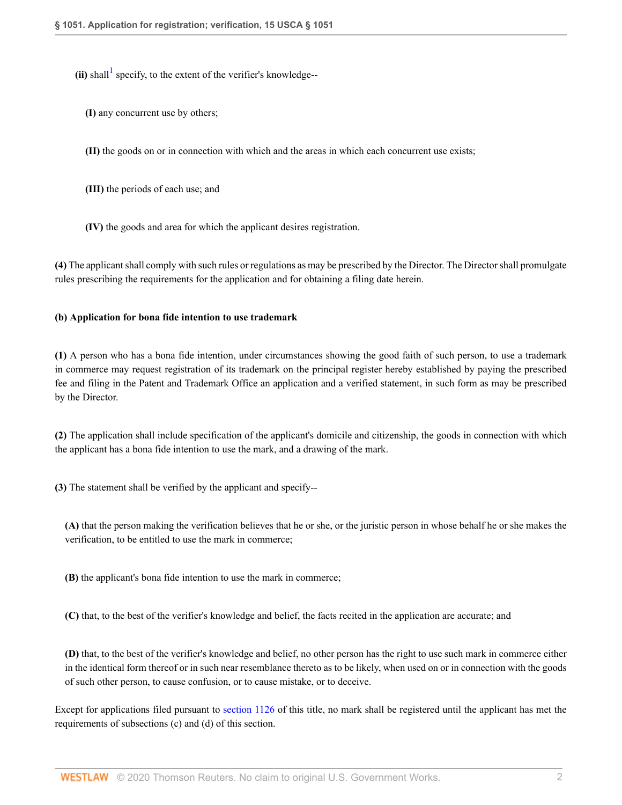<span id="page-1-0"></span> $(iii)$  shall<sup>[1](#page-3-1)</sup> specify, to the extent of the verifier's knowledge--

**(I)** any concurrent use by others;

**(II)** the goods on or in connection with which and the areas in which each concurrent use exists;

- **(III)** the periods of each use; and
- **(IV)** the goods and area for which the applicant desires registration.

**(4)** The applicant shall comply with such rules or regulations as may be prescribed by the Director. The Director shall promulgate rules prescribing the requirements for the application and for obtaining a filing date herein.

#### **(b) Application for bona fide intention to use trademark**

**(1)** A person who has a bona fide intention, under circumstances showing the good faith of such person, to use a trademark in commerce may request registration of its trademark on the principal register hereby established by paying the prescribed fee and filing in the Patent and Trademark Office an application and a verified statement, in such form as may be prescribed by the Director.

**(2)** The application shall include specification of the applicant's domicile and citizenship, the goods in connection with which the applicant has a bona fide intention to use the mark, and a drawing of the mark.

**(3)** The statement shall be verified by the applicant and specify--

**(A)** that the person making the verification believes that he or she, or the juristic person in whose behalf he or she makes the verification, to be entitled to use the mark in commerce;

**(B)** the applicant's bona fide intention to use the mark in commerce;

**(C)** that, to the best of the verifier's knowledge and belief, the facts recited in the application are accurate; and

**(D)** that, to the best of the verifier's knowledge and belief, no other person has the right to use such mark in commerce either in the identical form thereof or in such near resemblance thereto as to be likely, when used on or in connection with the goods of such other person, to cause confusion, or to cause mistake, or to deceive.

Except for applications filed pursuant to [section 1126](http://www.westlaw.com/Link/Document/FullText?findType=L&pubNum=1000546&cite=15USCAS1126&originatingDoc=NB8E46B70AFF711D8803AE0632FEDDFBF&refType=LQ&originationContext=document&vr=3.0&rs=cblt1.0&transitionType=DocumentItem&contextData=(sc.DocLink)) of this title, no mark shall be registered until the applicant has met the requirements of subsections (c) and (d) of this section.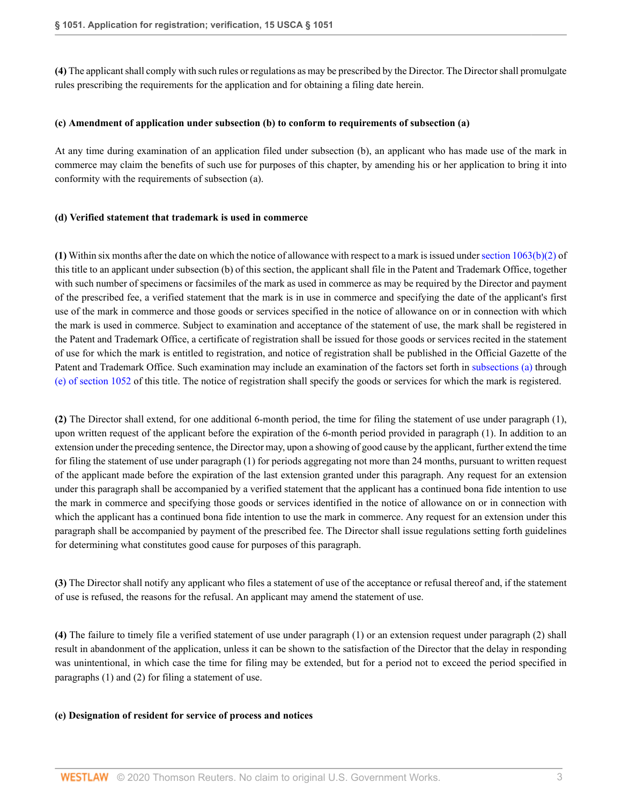**(4)** The applicant shall comply with such rules or regulations as may be prescribed by the Director. The Director shall promulgate rules prescribing the requirements for the application and for obtaining a filing date herein.

#### **(c) Amendment of application under subsection (b) to conform to requirements of subsection (a)**

At any time during examination of an application filed under subsection (b), an applicant who has made use of the mark in commerce may claim the benefits of such use for purposes of this chapter, by amending his or her application to bring it into conformity with the requirements of subsection (a).

#### **(d) Verified statement that trademark is used in commerce**

**(1)** Within six months after the date on which the notice of allowance with respect to a mark is issued under [section 1063\(b\)\(2\)](http://www.westlaw.com/Link/Document/FullText?findType=L&pubNum=1000546&cite=15USCAS1063&originatingDoc=NB8E46B70AFF711D8803AE0632FEDDFBF&refType=RB&originationContext=document&vr=3.0&rs=cblt1.0&transitionType=DocumentItem&contextData=(sc.DocLink)#co_pp_c0ae00006c482) of this title to an applicant under subsection (b) of this section, the applicant shall file in the Patent and Trademark Office, together with such number of specimens or facsimiles of the mark as used in commerce as may be required by the Director and payment of the prescribed fee, a verified statement that the mark is in use in commerce and specifying the date of the applicant's first use of the mark in commerce and those goods or services specified in the notice of allowance on or in connection with which the mark is used in commerce. Subject to examination and acceptance of the statement of use, the mark shall be registered in the Patent and Trademark Office, a certificate of registration shall be issued for those goods or services recited in the statement of use for which the mark is entitled to registration, and notice of registration shall be published in the Official Gazette of the Patent and Trademark Office. Such examination may include an examination of the factors set forth in [subsections \(a\)](http://www.westlaw.com/Link/Document/FullText?findType=L&pubNum=1000546&cite=15USCAS1052&originatingDoc=NB8E46B70AFF711D8803AE0632FEDDFBF&refType=RB&originationContext=document&vr=3.0&rs=cblt1.0&transitionType=DocumentItem&contextData=(sc.DocLink)#co_pp_8b3b0000958a4) through [\(e\) of section 1052](http://www.westlaw.com/Link/Document/FullText?findType=L&pubNum=1000546&cite=15USCAS1052&originatingDoc=NB8E46B70AFF711D8803AE0632FEDDFBF&refType=RE&originationContext=document&vr=3.0&rs=cblt1.0&transitionType=DocumentItem&contextData=(sc.DocLink)#co_pp_7fdd00001ca15) of this title. The notice of registration shall specify the goods or services for which the mark is registered.

**(2)** The Director shall extend, for one additional 6-month period, the time for filing the statement of use under paragraph (1), upon written request of the applicant before the expiration of the 6-month period provided in paragraph (1). In addition to an extension under the preceding sentence, the Director may, upon a showing of good cause by the applicant, further extend the time for filing the statement of use under paragraph (1) for periods aggregating not more than 24 months, pursuant to written request of the applicant made before the expiration of the last extension granted under this paragraph. Any request for an extension under this paragraph shall be accompanied by a verified statement that the applicant has a continued bona fide intention to use the mark in commerce and specifying those goods or services identified in the notice of allowance on or in connection with which the applicant has a continued bona fide intention to use the mark in commerce. Any request for an extension under this paragraph shall be accompanied by payment of the prescribed fee. The Director shall issue regulations setting forth guidelines for determining what constitutes good cause for purposes of this paragraph.

**(3)** The Director shall notify any applicant who files a statement of use of the acceptance or refusal thereof and, if the statement of use is refused, the reasons for the refusal. An applicant may amend the statement of use.

**(4)** The failure to timely file a verified statement of use under paragraph (1) or an extension request under paragraph (2) shall result in abandonment of the application, unless it can be shown to the satisfaction of the Director that the delay in responding was unintentional, in which case the time for filing may be extended, but for a period not to exceed the period specified in paragraphs (1) and (2) for filing a statement of use.

### **(e) Designation of resident for service of process and notices**